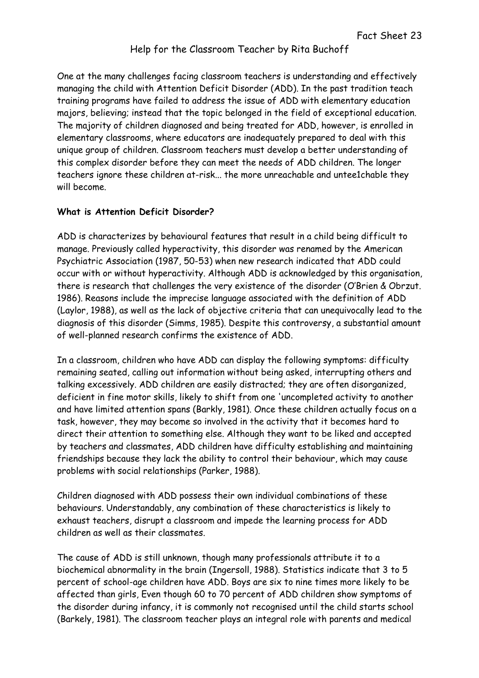# Help for the Classroom Teacher by Rita Buchoff

One at the many challenges facing classroom teachers is understanding and effectively managing the child with Attention Deficit Disorder (ADD). In the past tradition teach training programs have failed to address the issue of ADD with elementary education majors, believing; instead that the topic belonged in the field of exceptional education. The majority of children diagnosed and being treated for ADD, however, is enrolled in elementary classrooms, where educators are inadequately prepared to deal with this unique group of children. Classroom teachers must develop a better understanding of this complex disorder before they can meet the needs of ADD children. The longer teachers ignore these children at-risk... the more unreachable and untee1chable they will become.

### What is Attention Deficit Disorder?

ADD is characterizes by behavioural features that result in a child being difficult to manage. Previously called hyperactivity, this disorder was renamed by the American Psychiatric Association (1987, 50-53) when new research indicated that ADD could occur with or without hyperactivity. Although ADD is acknowledged by this organisation, there is research that challenges the very existence of the disorder (O'Brien & Obrzut. 1986). Reasons include the imprecise language associated with the definition of ADD (Laylor, 1988), as well as the lack of objective criteria that can unequivocally lead to the diagnosis of this disorder (Simms, 1985). Despite this controversy, a substantial amount of well-planned research confirms the existence of ADD.

In a classroom, children who have ADD can display the following symptoms: difficulty remaining seated, calling out information without being asked, interrupting others and talking excessively. ADD children are easily distracted; they are often disorganized, deficient in fine motor skills, likely to shift from one 'uncompleted activity to another and have limited attention spans (Barkly, 1981). Once these children actually focus on a task, however, they may become so involved in the activity that it becomes hard to direct their attention to something else. Although they want to be liked and accepted by teachers and classmates, ADD children have difficulty establishing and maintaining friendships because they lack the ability to control their behaviour, which may cause problems with social relationships (Parker, 1988).

Children diagnosed with ADD possess their own individual combinations of these behaviours. Understandably, any combination of these characteristics is likely to exhaust teachers, disrupt a classroom and impede the learning process for ADD children as well as their classmates.

The cause of ADD is still unknown, though many professionals attribute it to a biochemical abnormality in the brain (Ingersoll, 1988). Statistics indicate that 3 to 5 percent of school-age children have ADD. Boys are six to nine times more likely to be affected than girls, Even though 60 to 70 percent of ADD children show symptoms of the disorder during infancy, it is commonly not recognised until the child starts school (Barkely, 1981). The classroom teacher plays an integral role with parents and medical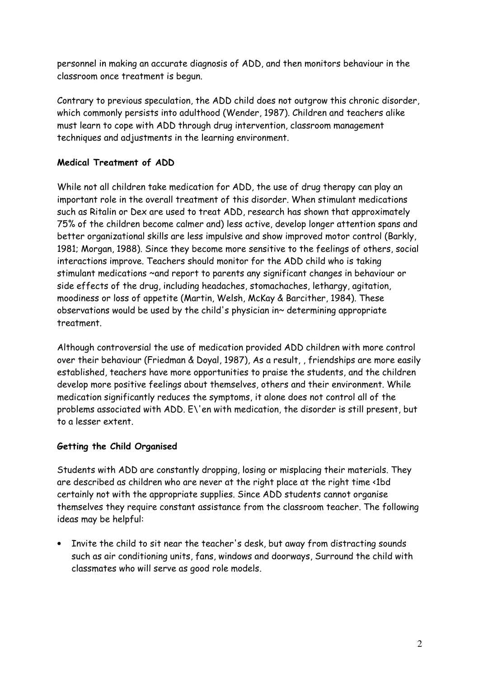personnel in making an accurate diagnosis of ADD, and then monitors behaviour in the classroom once treatment is begun.

Contrary to previous speculation, the ADD child does not outgrow this chronic disorder, which commonly persists into adulthood (Wender, 1987). Children and teachers alike must learn to cope with ADD through drug intervention, classroom management techniques and adjustments in the learning environment.

# Medical Treatment of ADD

While not all children take medication for ADD, the use of drug therapy can play an important role in the overall treatment of this disorder. When stimulant medications such as Ritalin or Dex are used to treat ADD, research has shown that approximately 75% of the children become calmer and) less active, develop longer attention spans and better organizational skills are less impulsive and show improved motor control (Barkly, 1981; Morgan, 1988). Since they become more sensitive to the feelings of others, social interactions improve. Teachers should monitor for the ADD child who is taking stimulant medications ~and report to parents any significant changes in behaviour or side effects of the drug, including headaches, stomachaches, lethargy, agitation, moodiness or loss of appetite (Martin, Welsh, McKay & Barcither, 1984). These observations would be used by the child's physician in~ determining appropriate treatment.

Although controversial the use of medication provided ADD children with more control over their behaviour (Friedman & Doyal, 1987), As a result, , friendships are more easily established, teachers have more opportunities to praise the students, and the children develop more positive feelings about themselves, others and their environment. While medication significantly reduces the symptoms, it alone does not control all of the problems associated with ADD. E\'en with medication, the disorder is still present, but to a lesser extent.

### Getting the Child Organised

Students with ADD are constantly dropping, losing or misplacing their materials. They are described as children who are never at the right place at the right time <1bd certainly not with the appropriate supplies. Since ADD students cannot organise themselves they require constant assistance from the classroom teacher. The following ideas may be helpful:

• Invite the child to sit near the teacher's desk, but away from distracting sounds such as air conditioning units, fans, windows and doorways, Surround the child with classmates who will serve as good role models.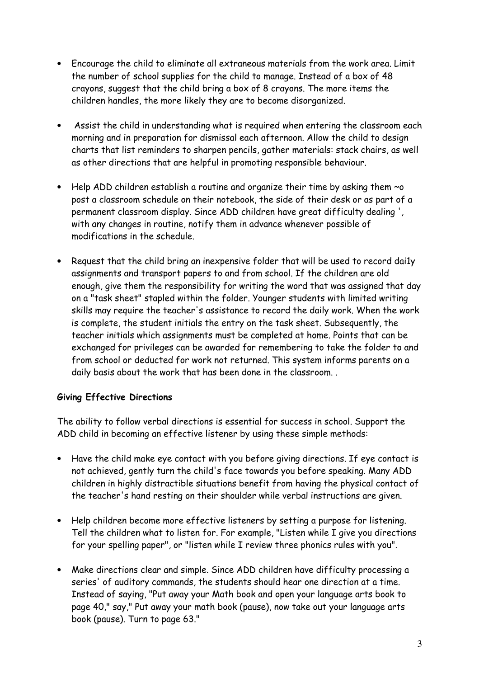- Encourage the child to eliminate all extraneous materials from the work area. Limit the number of school supplies for the child to manage. Instead of a box of 48 crayons, suggest that the child bring a box of 8 crayons. The more items the children handles, the more likely they are to become disorganized.
- Assist the child in understanding what is required when entering the classroom each morning and in preparation for dismissal each afternoon. Allow the child to design charts that list reminders to sharpen pencils, gather materials: stack chairs, as well as other directions that are helpful in promoting responsible behaviour.
- Help ADD children establish a routine and organize their time by asking them ~o post a classroom schedule on their notebook, the side of their desk or as part of a permanent classroom display. Since ADD children have great difficulty dealing ', with any changes in routine, notify them in advance whenever possible of modifications in the schedule.
- Request that the child bring an inexpensive folder that will be used to record dai1y assignments and transport papers to and from school. If the children are old enough, give them the responsibility for writing the word that was assigned that day on a "task sheet" stapled within the folder. Younger students with limited writing skills may require the teacher's assistance to record the daily work. When the work is complete, the student initials the entry on the task sheet. Subsequently, the teacher initials which assignments must be completed at home. Points that can be exchanged for privileges can be awarded for remembering to take the folder to and from school or deducted for work not returned. This system informs parents on a daily basis about the work that has been done in the classroom. .

### Giving Effective Directions

The ability to follow verbal directions is essential for success in school. Support the ADD child in becoming an effective listener by using these simple methods:

- Have the child make eye contact with you before giving directions. If eye contact is not achieved, gently turn the child's face towards you before speaking. Many ADD children in highly distractible situations benefit from having the physical contact of the teacher's hand resting on their shoulder while verbal instructions are given.
- Help children become more effective listeners by setting a purpose for listening. Tell the children what to listen for. For example, "Listen while I give you directions for your spelling paper", or "listen while I review three phonics rules with you".
- Make directions clear and simple. Since ADD children have difficulty processing a series' of auditory commands, the students should hear one direction at a time. Instead of saying, "Put away your Math book and open your language arts book to page 40," say," Put away your math book (pause), now take out your language arts book (pause). Turn to page 63."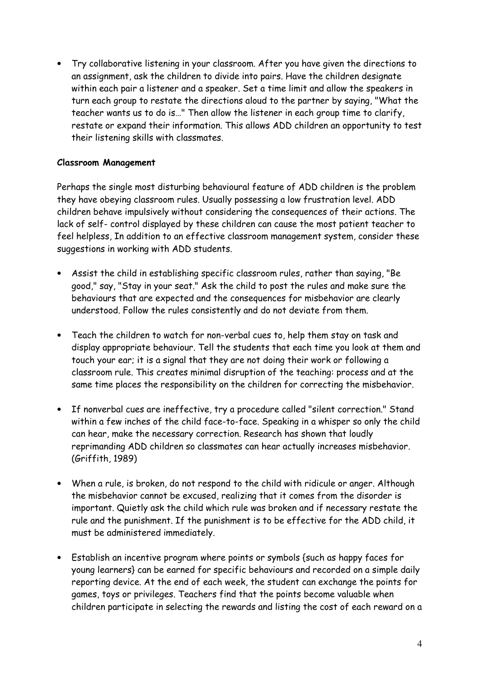• Try collaborative listening in your classroom. After you have given the directions to an assignment, ask the children to divide into pairs. Have the children designate within each pair a listener and a speaker. Set a time limit and allow the speakers in turn each group to restate the directions aloud to the partner by saying, "What the teacher wants us to do is…" Then allow the listener in each group time to clarify, restate or expand their information. This allows ADD children an opportunity to test their listening skills with classmates.

#### Classroom Management

Perhaps the single most disturbing behavioural feature of ADD children is the problem they have obeying classroom rules. Usually possessing a low frustration level. ADD children behave impulsively without considering the consequences of their actions. The lack of self- control displayed by these children can cause the most patient teacher to feel helpless, In addition to an effective classroom management system, consider these suggestions in working with ADD students.

- Assist the child in establishing specific classroom rules, rather than saying, "Be good," say, "Stay in your seat." Ask the child to post the rules and make sure the behaviours that are expected and the consequences for misbehavior are clearly understood. Follow the rules consistently and do not deviate from them.
- Teach the children to watch for non-verbal cues to, help them stay on task and display appropriate behaviour. Tell the students that each time you look at them and touch your ear; it is a signal that they are not doing their work or following a classroom rule. This creates minimal disruption of the teaching: process and at the same time places the responsibility on the children for correcting the misbehavior.
- If nonverbal cues are ineffective, try a procedure called "silent correction." Stand within a few inches of the child face-to-face. Speaking in a whisper so only the child can hear, make the necessary correction. Research has shown that loudly reprimanding ADD children so classmates can hear actually increases misbehavior. (Griffith, 1989)
- When a rule, is broken, do not respond to the child with ridicule or anger. Although the misbehavior cannot be excused, realizing that it comes from the disorder is important. Quietly ask the child which rule was broken and if necessary restate the rule and the punishment. If the punishment is to be effective for the ADD child, it must be administered immediately.
- Establish an incentive program where points or symbols {such as happy faces for young learners} can be earned for specific behaviours and recorded on a simple daily reporting device. At the end of each week, the student can exchange the points for games, toys or privileges. Teachers find that the points become valuable when children participate in selecting the rewards and listing the cost of each reward on a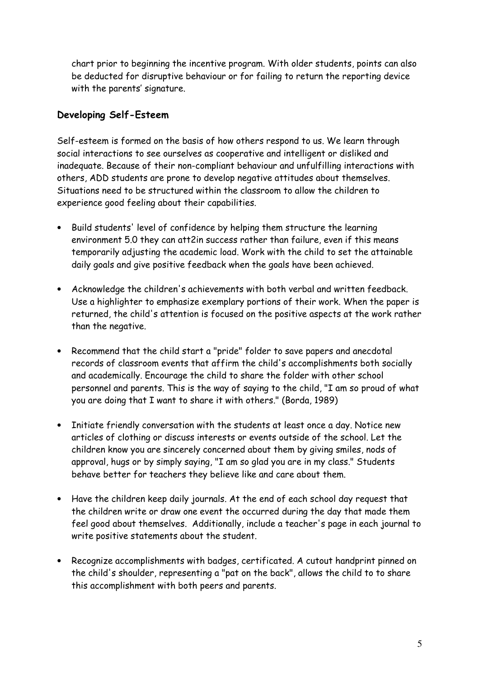chart prior to beginning the incentive program. With older students, points can also be deducted for disruptive behaviour or for failing to return the reporting device with the parents' signature.

## Developing Self-Esteem

Self-esteem is formed on the basis of how others respond to us. We learn through social interactions to see ourselves as cooperative and intelligent or disliked and inadequate. Because of their non-compliant behaviour and unfulfilling interactions with others, ADD students are prone to develop negative attitudes about themselves. Situations need to be structured within the classroom to allow the children to experience good feeling about their capabilities.

- Build students' level of confidence by helping them structure the learning environment 5.0 they can att2in success rather than failure, even if this means temporarily adjusting the academic load. Work with the child to set the attainable daily goals and give positive feedback when the goals have been achieved.
- Acknowledge the children's achievements with both verbal and written feedback. Use a highlighter to emphasize exemplary portions of their work. When the paper is returned, the child's attention is focused on the positive aspects at the work rather than the negative.
- Recommend that the child start a "pride" folder to save papers and anecdotal records of classroom events that affirm the child's accomplishments both socially and academically. Encourage the child to share the folder with other school personnel and parents. This is the way of saying to the child, "I am so proud of what you are doing that I want to share it with others." (Borda, 1989)
- Initiate friendly conversation with the students at least once a day. Notice new articles of clothing or discuss interests or events outside of the school. Let the children know you are sincerely concerned about them by giving smiles, nods of approval, hugs or by simply saying, "I am so glad you are in my class." Students behave better for teachers they believe like and care about them.
- Have the children keep daily journals. At the end of each school day request that the children write or draw one event the occurred during the day that made them feel good about themselves. Additionally, include a teacher's page in each journal to write positive statements about the student.
- Recognize accomplishments with badges, certificated. A cutout handprint pinned on the child's shoulder, representing a "pat on the back", allows the child to to share this accomplishment with both peers and parents.